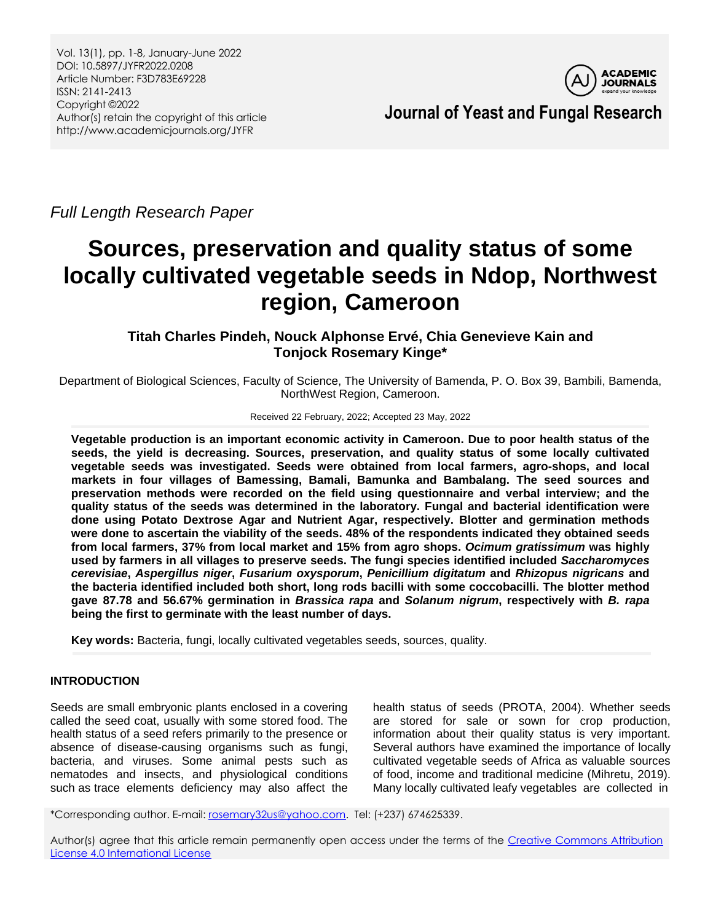

**Journal of Yeast and Fungal Research**

*Full Length Research Paper*

# **Sources, preservation and quality status of some locally cultivated vegetable seeds in Ndop, Northwest region, Cameroon**

## **Titah Charles Pindeh, Nouck Alphonse Ervé, Chia Genevieve Kain and Tonjock Rosemary Kinge\***

Department of Biological Sciences, Faculty of Science, The University of Bamenda, P. O. Box 39, Bambili, Bamenda, NorthWest Region, Cameroon.

#### Received 22 February, 2022; Accepted 23 May, 2022

**Vegetable production is an important economic activity in Cameroon. Due to poor health status of the seeds, the yield is decreasing. Sources, preservation, and quality status of some locally cultivated vegetable seeds was investigated. Seeds were obtained from local farmers, agro-shops, and local markets in four villages of Bamessing, Bamali, Bamunka and Bambalang. The seed sources and preservation methods were recorded on the field using questionnaire and verbal interview; and the quality status of the seeds was determined in the laboratory. Fungal and bacterial identification were done using Potato Dextrose Agar and Nutrient Agar, respectively. Blotter and germination methods were done to ascertain the viability of the seeds. 48% of the respondents indicated they obtained seeds from local farmers, 37% from local market and 15% from agro shops.** *Ocimum gratissimum* **was highly used by farmers in all villages to preserve seeds. The fungi species identified included** *Saccharomyces cerevisiae***,** *Aspergillus niger***,** *Fusarium oxysporum***,** *Penicillium digitatum* **and** *Rhizopus nigricans* **and the bacteria identified included both short, long rods bacilli with some coccobacilli. The blotter method gave 87.78 and 56.67% germination in** *Brassica rapa* **and** *Solanum nigrum***, respectively with** *B. rapa* **being the first to germinate with the least number of days.**

**Key words:** Bacteria, fungi, locally cultivated vegetables seeds, sources, quality.

## **INTRODUCTION**

Seeds are small embryonic plants enclosed in a covering called the seed coat, usually with some stored food. The health status of a seed refers primarily to the presence or absence of disease-causing organisms such as fungi, bacteria, and viruses. Some animal pests such as nematodes and insects, and physiological conditions such as trace elements deficiency may also affect the health status of seeds (PROTA, 2004). Whether seeds are stored for sale or sown for crop production, information about their quality status is very important. Several authors have examined the importance of locally cultivated vegetable seeds of Africa as valuable sources of food, income and traditional medicine (Mihretu, 2019). Many locally cultivated leafy vegetables are collected in

\*Corresponding author. E-mail: [rosemary32us@yahoo.com.](mailto:rosemary32us@yahoo.com) Tel: (+237) 674625339.

Author(s) agree that this article remain permanently open access under the terms of the [Creative Commons Attribution](http://creativecommons.org/licenses/by/4.0/deed.en_US)  [License 4.0 International License](http://creativecommons.org/licenses/by/4.0/deed.en_US)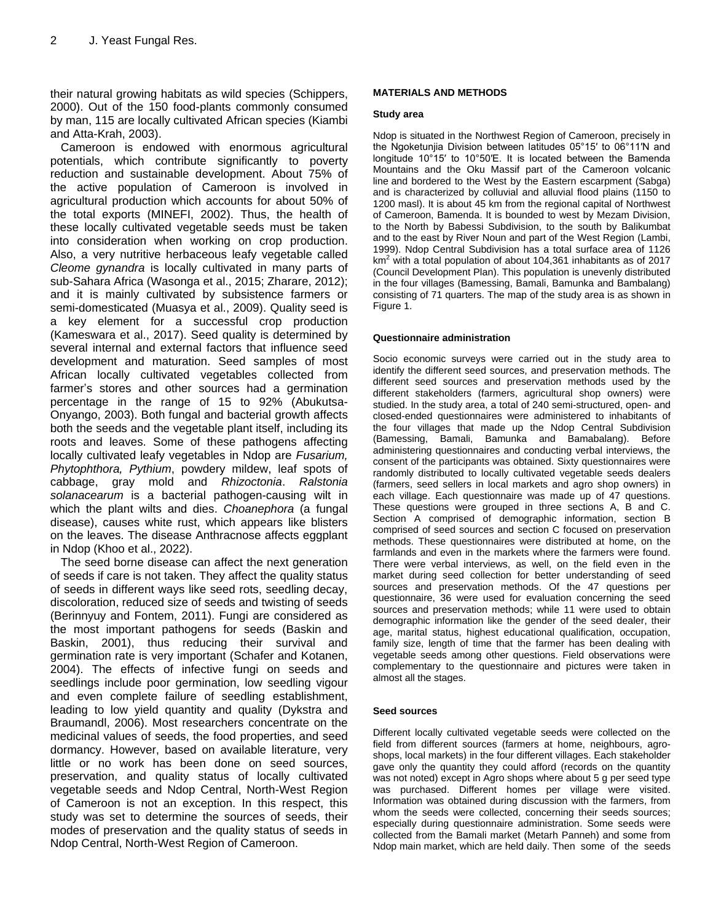their natural growing habitats as wild species (Schippers, 2000). Out of the 150 food-plants commonly consumed by man, 115 are locally cultivated African species (Kiambi and Atta-Krah, 2003).

Cameroon is endowed with enormous agricultural potentials, which contribute significantly to poverty reduction and sustainable development. About 75% of the active population of Cameroon is involved in agricultural production which accounts for about 50% of the total exports (MINEFI, 2002). Thus, the health of these locally cultivated vegetable seeds must be taken into consideration when working on crop production. Also, a very nutritive herbaceous leafy vegetable called *Cleome gynandra* is locally cultivated in many parts of sub-Sahara Africa (Wasonga et al., 2015; Zharare, 2012); and it is mainly cultivated by subsistence farmers or semi-domesticated (Muasya et al., 2009). Quality seed is a key element for a successful crop production (Kameswara et al., 2017). Seed quality is determined by several internal and external factors that influence seed development and maturation. Seed samples of most African locally cultivated vegetables collected from farmer's stores and other sources had a germination percentage in the range of 15 to 92% (Abukutsa-Onyango, 2003). Both fungal and bacterial growth affects both the seeds and the vegetable plant itself, including its roots and leaves. Some of these pathogens affecting locally cultivated leafy vegetables in Ndop are *Fusarium, Phytophthora, Pythium*, powdery mildew, leaf spots of cabbage, gray mold and *Rhizoctonia*. *Ralstonia solanacearum* is a bacterial pathogen-causing wilt in which the plant wilts and dies. *Choanephora* (a fungal disease), causes white rust, which appears like blisters on the leaves. The disease Anthracnose affects eggplant in Ndop (Khoo et al., 2022).

The seed borne disease can affect the next generation of seeds if care is not taken. They affect the quality status of seeds in different ways like seed rots, seedling decay, discoloration, reduced size of seeds and twisting of seeds (Berinnyuy and Fontem, 2011). Fungi are considered as the most important pathogens for seeds (Baskin and Baskin, 2001), thus reducing their survival and germination rate is very important (Schafer and Kotanen, 2004). The effects of infective fungi on seeds and seedlings include poor germination, low seedling vigour and even complete failure of seedling establishment, leading to low yield quantity and quality (Dykstra and Braumandl, 2006). Most researchers concentrate on the medicinal values of seeds, the food properties, and seed dormancy. However, based on available literature, very little or no work has been done on seed sources, preservation, and quality status of locally cultivated vegetable seeds and Ndop Central, North-West Region of Cameroon is not an exception. In this respect, this study was set to determine the sources of seeds, their modes of preservation and the quality status of seeds in Ndop Central, North-West Region of Cameroon.

#### **MATERIALS AND METHODS**

#### **Study area**

Ndop is situated in the Northwest Region of Cameroon, precisely in the Ngoketunjia Division between latitudes 05°15′ to 06°11′N and longitude 10°15′ to 10°50′E. It is located between the Bamenda Mountains and the Oku Massif part of the Cameroon volcanic line and bordered to the West by the Eastern escarpment (Sabga) and is characterized by colluvial and alluvial flood plains (1150 to 1200 masl). It is about 45 km from the regional capital of Northwest of Cameroon, Bamenda. It is bounded to west by Mezam Division, to the North by Babessi Subdivision, to the south by Balikumbat and to the east by River Noun and part of the West Region (Lambi, 1999). Ndop Central Subdivision has a total surface area of 1126 km <sup>2</sup> with a total population of about 104,361 inhabitants as of 2017 (Council Development Plan). This population is unevenly distributed in the four villages (Bamessing, Bamali, Bamunka and Bambalang) consisting of 71 quarters. The map of the study area is as shown in Figure 1.

#### **Questionnaire administration**

Socio economic surveys were carried out in the study area to identify the different seed sources, and preservation methods. The different seed sources and preservation methods used by the different stakeholders (farmers, agricultural shop owners) were studied. In the study area, a total of 240 semi-structured, open- and closed-ended questionnaires were administered to inhabitants of the four villages that made up the Ndop Central Subdivision (Bamessing, Bamali, Bamunka and Bamabalang). Before administering questionnaires and conducting verbal interviews, the consent of the participants was obtained. Sixty questionnaires were randomly distributed to locally cultivated vegetable seeds dealers (farmers, seed sellers in local markets and agro shop owners) in each village. Each questionnaire was made up of 47 questions. These questions were grouped in three sections A, B and C. Section A comprised of demographic information, section B comprised of seed sources and section C focused on preservation methods. These questionnaires were distributed at home, on the farmlands and even in the markets where the farmers were found. There were verbal interviews, as well, on the field even in the market during seed collection for better understanding of seed sources and preservation methods. Of the 47 questions per questionnaire, 36 were used for evaluation concerning the seed sources and preservation methods; while 11 were used to obtain demographic information like the gender of the seed dealer, their age, marital status, highest educational qualification, occupation, family size, length of time that the farmer has been dealing with vegetable seeds among other questions. Field observations were complementary to the questionnaire and pictures were taken in almost all the stages.

#### **Seed sources**

Different locally cultivated vegetable seeds were collected on the field from different sources (farmers at home, neighbours, agroshops, local markets) in the four different villages. Each stakeholder gave only the quantity they could afford (records on the quantity was not noted) except in Agro shops where about 5 g per seed type was purchased. Different homes per village were visited. Information was obtained during discussion with the farmers, from whom the seeds were collected, concerning their seeds sources; especially during questionnaire administration. Some seeds were collected from the Bamali market (Metarh Panneh) and some from Ndop main market, which are held daily. Then some of the seeds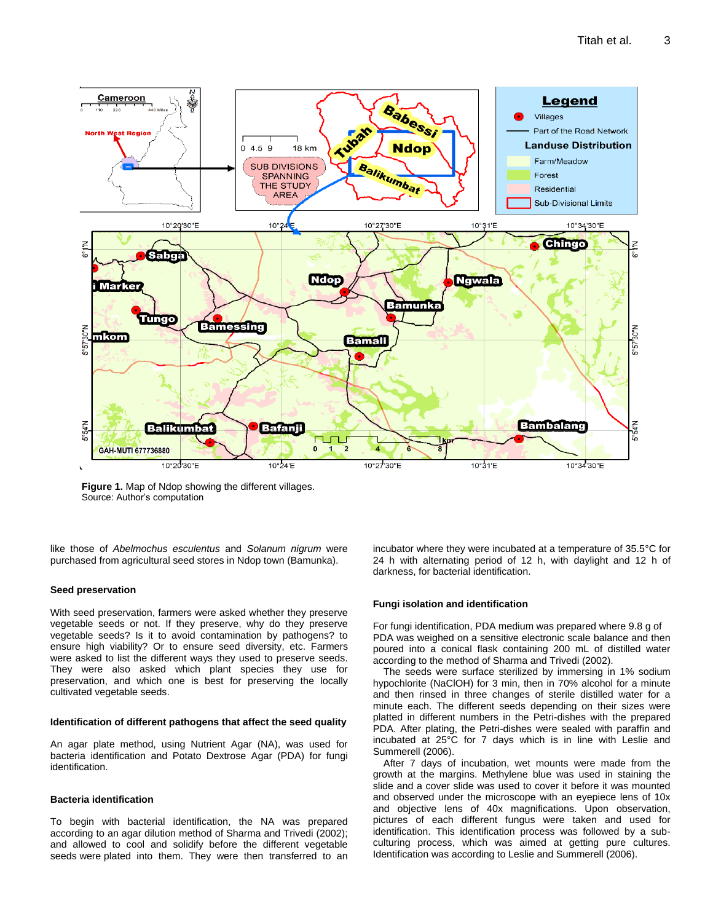

**Figure 1.** Map of Ndop showing the different villages. Source: Author's computation

like those of *Abelmochus esculentus* and *Solanum nigrum* were purchased from agricultural seed stores in Ndop town (Bamunka).

#### **Seed preservation**

With seed preservation, farmers were asked whether they preserve vegetable seeds or not. If they preserve, why do they preserve vegetable seeds? Is it to avoid contamination by pathogens? to ensure high viability? Or to ensure seed diversity, etc. Farmers were asked to list the different ways they used to preserve seeds. They were also asked which plant species they use for preservation, and which one is best for preserving the locally cultivated vegetable seeds.

#### **Identification of different pathogens that affect the seed quality**

An agar plate method, using Nutrient Agar (NA), was used for bacteria identification and Potato Dextrose Agar (PDA) for fungi identification.

#### **Bacteria identification**

To begin with bacterial identification, the NA was prepared according to an agar dilution method of Sharma and Trivedi (2002); and allowed to cool and solidify before the different vegetable seeds were plated into them. They were then transferred to an incubator where they were incubated at a temperature of 35.5°C for 24 h with alternating period of 12 h, with daylight and 12 h of darkness, for bacterial identification.

#### **Fungi isolation and identification**

For fungi identification, PDA medium was prepared where 9.8 g of PDA was weighed on a sensitive electronic scale balance and then poured into a conical flask containing 200 mL of distilled water according to the method of Sharma and Trivedi (2002).

The seeds were surface sterilized by immersing in 1% sodium hypochlorite (NaClOH) for 3 min, then in 70% alcohol for a minute and then rinsed in three changes of sterile distilled water for a minute each. The different seeds depending on their sizes were platted in different numbers in the Petri-dishes with the prepared PDA. After plating, the Petri-dishes were sealed with paraffin and incubated at 25°C for 7 days which is in line with Leslie and Summerell (2006).

After 7 days of incubation, wet mounts were made from the growth at the margins. Methylene blue was used in staining the slide and a cover slide was used to cover it before it was mounted and observed under the microscope with an eyepiece lens of 10x and objective lens of 40x magnifications. Upon observation, pictures of each different fungus were taken and used for identification. This identification process was followed by a subculturing process, which was aimed at getting pure cultures. Identification was according to Leslie and Summerell (2006).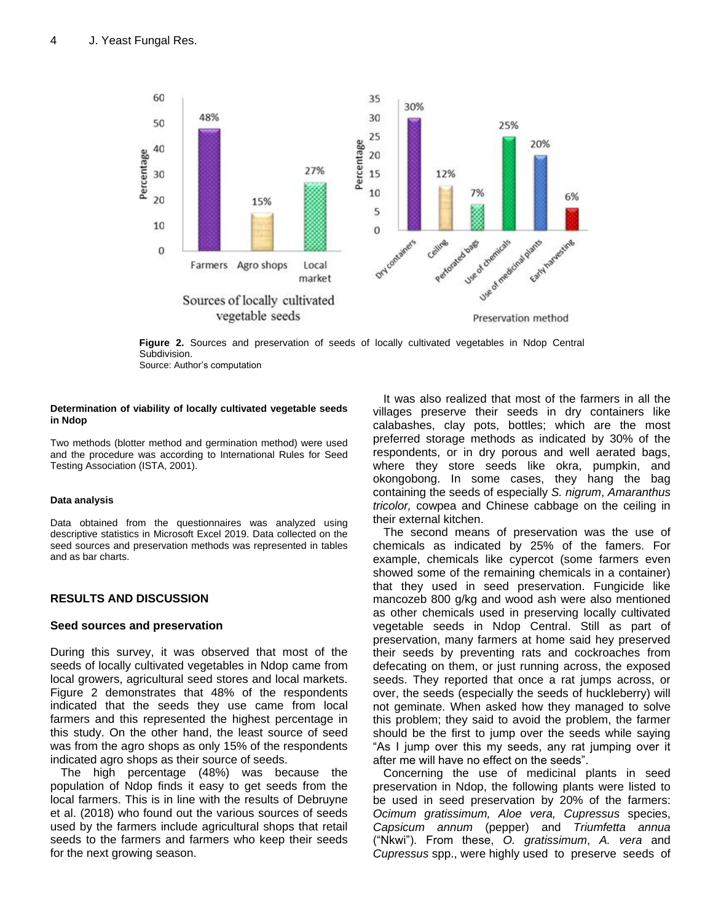

**Figure 2.** Sources and preservation of seeds of locally cultivated vegetables in Ndop Central Subdivision. Source: Author's computation

#### **Determination of viability of locally cultivated vegetable seeds in Ndop**

Two methods (blotter method and germination method) were used and the procedure was according to International Rules for Seed Testing Association (ISTA, 2001).

### **Data analysis**

Data obtained from the questionnaires was analyzed using descriptive statistics in Microsoft Excel 2019. Data collected on the seed sources and preservation methods was represented in tables and as bar charts.

## **RESULTS AND DISCUSSION**

### **Seed sources and preservation**

During this survey, it was observed that most of the seeds of locally cultivated vegetables in Ndop came from local growers, agricultural seed stores and local markets. Figure 2 demonstrates that 48% of the respondents indicated that the seeds they use came from local farmers and this represented the highest percentage in this study. On the other hand, the least source of seed was from the agro shops as only 15% of the respondents indicated agro shops as their source of seeds.

The high percentage (48%) was because the population of Ndop finds it easy to get seeds from the local farmers. This is in line with the results of Debruyne et al. (2018) who found out the various sources of seeds used by the farmers include agricultural shops that retail seeds to the farmers and farmers who keep their seeds for the next growing season.

It was also realized that most of the farmers in all the villages preserve their seeds in dry containers like calabashes, clay pots, bottles; which are the most preferred storage methods as indicated by 30% of the respondents, or in dry porous and well aerated bags, where they store seeds like okra, pumpkin, and okongobong. In some cases, they hang the bag containing the seeds of especially *S. nigrum*, *Amaranthus tricolor,* cowpea and Chinese cabbage on the ceiling in their external kitchen.

The second means of preservation was the use of chemicals as indicated by 25% of the famers. For example, chemicals like cypercot (some farmers even showed some of the remaining chemicals in a container) that they used in seed preservation. Fungicide like mancozeb 800 g/kg and wood ash were also mentioned as other chemicals used in preserving locally cultivated vegetable seeds in Ndop Central. Still as part of preservation, many farmers at home said hey preserved their seeds by preventing rats and cockroaches from defecating on them, or just running across, the exposed seeds. They reported that once a rat jumps across, or over, the seeds (especially the seeds of huckleberry) will not geminate. When asked how they managed to solve this problem; they said to avoid the problem, the farmer should be the first to jump over the seeds while saying "As I jump over this my seeds, any rat jumping over it after me will have no effect on the seeds".

Concerning the use of medicinal plants in seed preservation in Ndop, the following plants were listed to be used in seed preservation by 20% of the farmers: *Ocimum gratissimum, Aloe vera, Cupressus* species, *Capsicum annum* (pepper) and *Triumfetta annua* ("Nkwi"). From these, *O. gratissimum*, *A. vera* and *Cupressus* spp., were highly used to preserve seeds of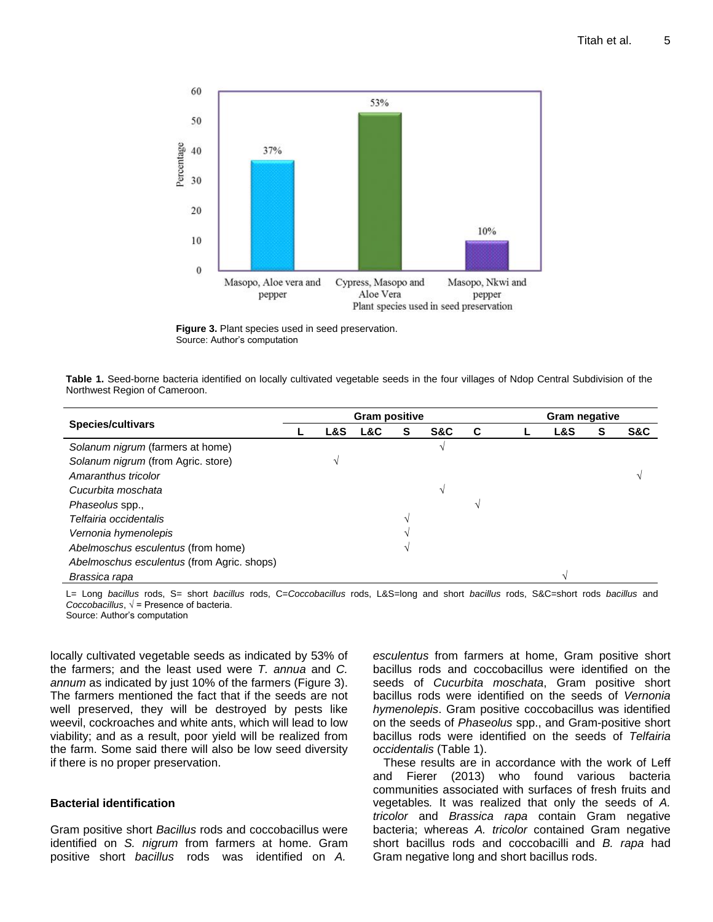

**Figure 3.** Plant species used in seed preservation. Source: Author's computation

|                               |  |  | Table 1. Seed-borne bacteria identified on locally cultivated vegetable seeds in the four villages of Ndop Central Subdivision of the |  |
|-------------------------------|--|--|---------------------------------------------------------------------------------------------------------------------------------------|--|
| Northwest Region of Cameroon. |  |  |                                                                                                                                       |  |

| <b>Species/cultivars</b>                   |  | <b>Gram positive</b> |     |   |     |   | <b>Gram negative</b> |                |   |     |
|--------------------------------------------|--|----------------------|-----|---|-----|---|----------------------|----------------|---|-----|
|                                            |  | <b>L&amp;S</b>       | L&C | s | S&C | C |                      | <b>L&amp;S</b> | S | S&C |
| Solanum nigrum (farmers at home)           |  |                      |     |   |     |   |                      |                |   |     |
| Solanum nigrum (from Agric. store)         |  |                      |     |   |     |   |                      |                |   |     |
| Amaranthus tricolor                        |  |                      |     |   |     |   |                      |                |   |     |
| Cucurbita moschata                         |  |                      |     |   |     |   |                      |                |   |     |
| Phaseolus spp.,                            |  |                      |     |   |     |   |                      |                |   |     |
| Telfairia occidentalis                     |  |                      |     |   |     |   |                      |                |   |     |
| Vernonia hymenolepis                       |  |                      |     |   |     |   |                      |                |   |     |
| Abelmoschus esculentus (from home)         |  |                      |     |   |     |   |                      |                |   |     |
| Abelmoschus esculentus (from Agric. shops) |  |                      |     |   |     |   |                      |                |   |     |
| Brassica rapa                              |  |                      |     |   |     |   |                      |                |   |     |

L= Long *bacillus* rods, S= short *bacillus* rods, C=*Coccobacillus* rods, L&S=long and short *bacillus* rods, S&C=short rods *bacillus* and *Coccobacillus*,  $\sqrt{ }$  = Presence of bacteria.

Source: Author's computation

locally cultivated vegetable seeds as indicated by 53% of the farmers; and the least used were *T. annua* and *C. annum* as indicated by just 10% of the farmers (Figure 3). The farmers mentioned the fact that if the seeds are not well preserved, they will be destroyed by pests like weevil, cockroaches and white ants, which will lead to low viability; and as a result, poor yield will be realized from the farm. Some said there will also be low seed diversity if there is no proper preservation.

## **Bacterial identification**

Gram positive short *Bacillus* rods and coccobacillus were identified on *S. nigrum* from farmers at home. Gram positive short *bacillus* rods was identified on *A.*

*esculentus* from farmers at home, Gram positive short bacillus rods and coccobacillus were identified on the seeds of *Cucurbita moschata*, Gram positive short bacillus rods were identified on the seeds of *Vernonia hymenolepis*. Gram positive coccobacillus was identified on the seeds of *Phaseolus* spp., and Gram-positive short bacillus rods were identified on the seeds of *Telfairia occidentalis* (Table 1).

These results are in accordance with the work of Leff and Fierer (2013) who found various bacteria communities associated with surfaces of fresh fruits and vegetables*.* It was realized that only the seeds of *A. tricolor* and *Brassica rapa* contain Gram negative bacteria; whereas *A. tricolor* contained Gram negative short bacillus rods and coccobacilli and *B. rapa* had Gram negative long and short bacillus rods.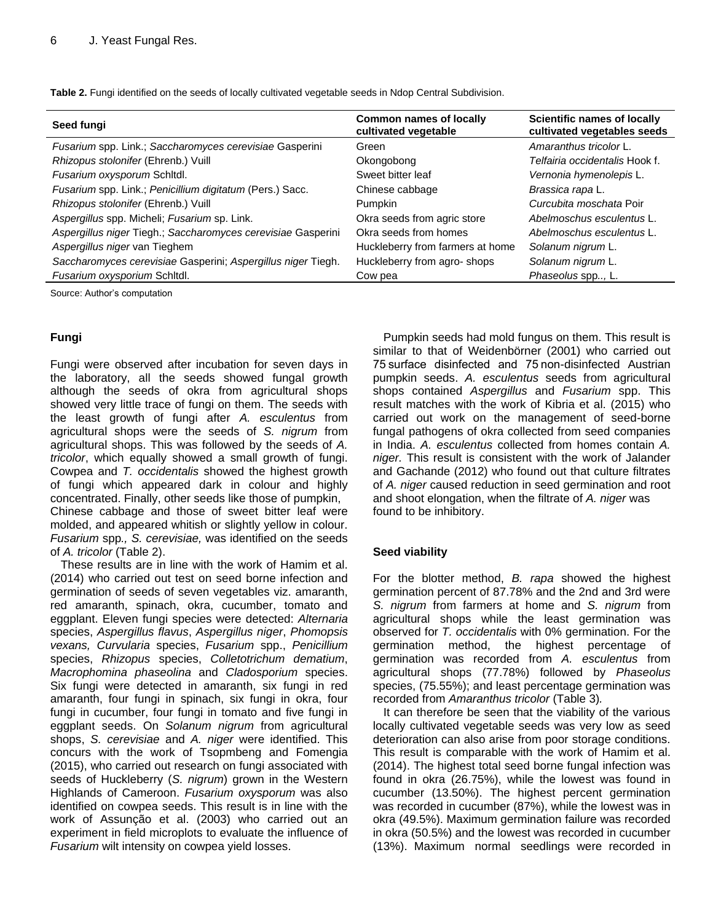| Table 2. Fungi identified on the seeds of locally cultivated vegetable seeds in Ndop Central Subdivision. |  |  |
|-----------------------------------------------------------------------------------------------------------|--|--|
|-----------------------------------------------------------------------------------------------------------|--|--|

| Seed fungi                                                   | <b>Common names of locally</b><br>cultivated vegetable | <b>Scientific names of locally</b><br>cultivated vegetables seeds |  |  |
|--------------------------------------------------------------|--------------------------------------------------------|-------------------------------------------------------------------|--|--|
| Fusarium spp. Link.; Saccharomyces cerevisiae Gasperini      | Green                                                  | Amaranthus tricolor L.                                            |  |  |
| Rhizopus stolonifer (Ehrenb.) Vuill                          | Okongobong                                             | <i>Telfairia occidentalis</i> Hook f.                             |  |  |
| Fusarium oxysporum Schitdl.                                  | Sweet bitter leaf                                      | Vernonia hymenolepis L.                                           |  |  |
| Fusarium spp. Link.; Penicillium digitatum (Pers.) Sacc.     | Chinese cabbage                                        | Brassica rapa L.                                                  |  |  |
| Rhizopus stolonifer (Ehrenb.) Vuill                          | Pumpkin                                                | Curcubita moschata Poir                                           |  |  |
| Aspergillus spp. Micheli; Fusarium sp. Link.                 | Okra seeds from agric store                            | Abelmoschus esculentus L.                                         |  |  |
| Aspergillus niger Tiegh.; Saccharomyces cerevisiae Gasperini | Okra seeds from homes                                  | Abelmoschus esculentus L.                                         |  |  |
| Aspergillus niger van Tieghem                                | Huckleberry from farmers at home                       | Solanum nigrum L.                                                 |  |  |
| Saccharomyces cerevisiae Gasperini; Aspergillus niger Tiegh. | Huckleberry from agro-shops                            | Solanum nigrum L.                                                 |  |  |
| Fusarium oxysporium Schitdl.                                 | Cow pea                                                | Phaseolus spp, L.                                                 |  |  |

Source: Author's computation

## **Fungi**

Fungi were observed after incubation for seven days in the laboratory, all the seeds showed fungal growth although the seeds of okra from agricultural shops showed very little trace of fungi on them. The seeds with the least growth of fungi after *A. esculentus* from agricultural shops were the seeds of *S. nigrum* from agricultural shops. This was followed by the seeds of *A. tricolor*, which equally showed a small growth of fungi. Cowpea and *T. occidentalis* showed the highest growth of fungi which appeared dark in colour and highly concentrated. Finally, other seeds like those of pumpkin, Chinese cabbage and those of sweet bitter leaf were molded, and appeared whitish or slightly yellow in colour. *Fusarium* spp*., S. cerevisiae,* was identified on the seeds of *A. tricolor* (Table 2).

These results are in line with the work of Hamim et al. (2014) who carried out test on seed borne infection and germination of seeds of seven vegetables viz. amaranth, red amaranth, spinach, okra, cucumber, tomato and eggplant. Eleven fungi species were detected: *Alternaria* species, *Aspergillus flavus*, *Aspergillus niger*, *Phomopsis vexans, Curvularia* species, *Fusarium* spp., *Penicillium*  species, *Rhizopus* species, *Colletotrichum dematium*, *Macrophomina phaseolina* and *Cladosporium* species. Six fungi were detected in amaranth, six fungi in red amaranth, four fungi in spinach, six fungi in okra, four fungi in cucumber, four fungi in tomato and five fungi in eggplant seeds. On *Solanum nigrum* from agricultural shops, *S. cerevisiae* and *A. niger* were identified. This concurs with the work of Tsopmbeng and Fomengia (2015), who carried out research on fungi associated with seeds of Huckleberry (*S. nigrum*) grown in the Western Highlands of Cameroon. *Fusarium oxysporum* was also identified on cowpea seeds. This result is in line with the work of Assunção et al. (2003) who carried out an experiment in field microplots to evaluate the influence of *Fusarium* wilt intensity on cowpea yield losses.

Pumpkin seeds had mold fungus on them. This result is similar to that of Weidenbörner (2001) who carried out 75 surface disinfected and 75 non-disinfected Austrian pumpkin seeds. *A. esculentus* seeds from agricultural shops contained *Aspergillus* and *Fusarium* spp. This result matches with the work of Kibria et al. (2015) who carried out work on the management of seed-borne fungal pathogens of okra collected from seed companies in India. *A. esculentus* collected from homes contain *A. niger.* This result is consistent with the work of Jalander and Gachande (2012) who found out that culture filtrates of *A. niger* caused reduction in seed germination and root and shoot elongation, when the filtrate of *A. niger* was found to be inhibitory.

## **Seed viability**

For the blotter method, *B. rapa* showed the highest germination percent of 87.78% and the 2nd and 3rd were *S. nigrum* from farmers at home and *S. nigrum* from agricultural shops while the least germination was observed for *T. occidentalis* with 0% germination. For the germination method, the highest percentage of germination was recorded from *A. esculentus* from agricultural shops (77.78%) followed by *Phaseolus*  species, (75.55%); and least percentage germination was recorded from *Amaranthus tricolor* (Table 3)*.*

It can therefore be seen that the viability of the various locally cultivated vegetable seeds was very low as seed deterioration can also arise from poor storage conditions. This result is comparable with the work of Hamim et al. (2014). The highest total seed borne fungal infection was found in okra (26.75%), while the lowest was found in cucumber (13.50%). The highest percent germination was recorded in cucumber (87%), while the lowest was in okra (49.5%). Maximum germination failure was recorded in okra (50.5%) and the lowest was recorded in cucumber (13%). Maximum normal seedlings were recorded in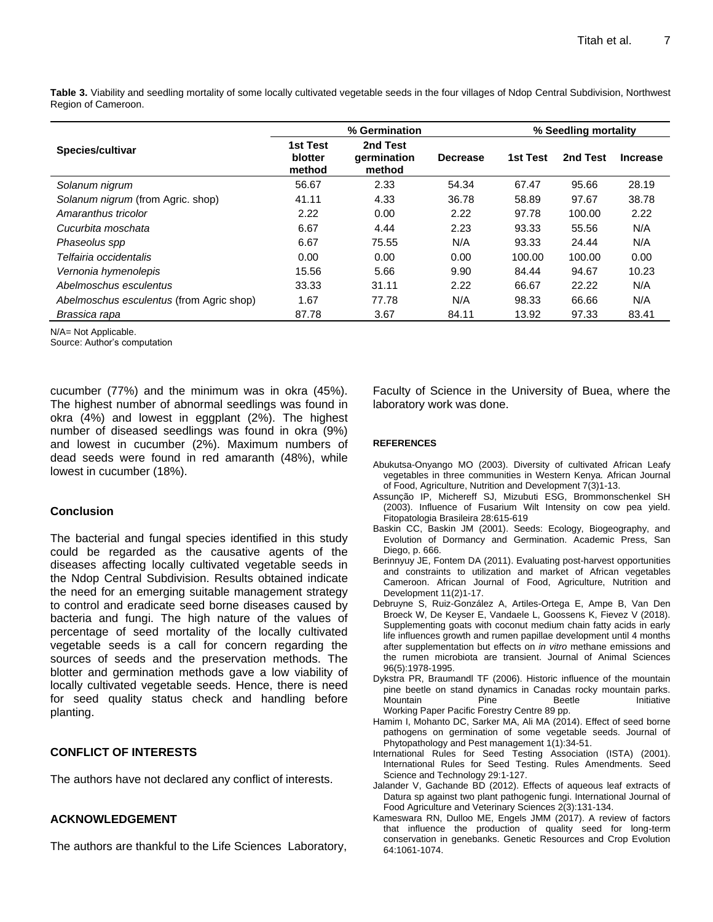**Table 3.** Viability and seedling mortality of some locally cultivated vegetable seeds in the four villages of Ndop Central Subdivision, Northwest Region of Cameroon.

|                                          |                               | % Germination                     | % Seedling mortality |          |          |                 |
|------------------------------------------|-------------------------------|-----------------------------------|----------------------|----------|----------|-----------------|
| Species/cultivar                         | 1st Test<br>blotter<br>method | 2nd Test<br>germination<br>method | <b>Decrease</b>      | 1st Test | 2nd Test | <b>Increase</b> |
| Solanum nigrum                           | 56.67                         | 2.33                              | 54.34                | 67.47    | 95.66    | 28.19           |
| Solanum nigrum (from Agric. shop)        | 41.11                         | 4.33                              | 36.78                | 58.89    | 97.67    | 38.78           |
| Amaranthus tricolor                      | 2.22                          | 0.00                              | 2.22                 | 97.78    | 100.00   | 2.22            |
| Cucurbita moschata                       | 6.67                          | 4.44                              | 2.23                 | 93.33    | 55.56    | N/A             |
| Phaseolus spp                            | 6.67                          | 75.55                             | N/A                  | 93.33    | 24.44    | N/A             |
| Telfairia occidentalis                   | 0.00                          | 0.00                              | 0.00                 | 100.00   | 100.00   | 0.00            |
| Vernonia hymenolepis                     | 15.56                         | 5.66                              | 9.90                 | 84.44    | 94.67    | 10.23           |
| Abelmoschus esculentus                   | 33.33                         | 31.11                             | 2.22                 | 66.67    | 22.22    | N/A             |
| Abelmoschus esculentus (from Agric shop) | 1.67                          | 77.78                             | N/A                  | 98.33    | 66.66    | N/A             |
| Brassica rapa                            | 87.78                         | 3.67                              | 84.11                | 13.92    | 97.33    | 83.41           |

N/A= Not Applicable.

Source: Author's computation

cucumber (77%) and the minimum was in okra (45%). The highest number of abnormal seedlings was found in okra (4%) and lowest in eggplant (2%). The highest number of diseased seedlings was found in okra (9%) and lowest in cucumber (2%). Maximum numbers of dead seeds were found in red amaranth (48%), while lowest in cucumber (18%).

## **Conclusion**

The bacterial and fungal species identified in this study could be regarded as the causative agents of the diseases affecting locally cultivated vegetable seeds in the Ndop Central Subdivision. Results obtained indicate the need for an emerging suitable management strategy to control and eradicate seed borne diseases caused by bacteria and fungi. The high nature of the values of percentage of seed mortality of the locally cultivated vegetable seeds is a call for concern regarding the sources of seeds and the preservation methods. The blotter and germination methods gave a low viability of locally cultivated vegetable seeds. Hence, there is need for seed quality status check and handling before planting.

## **CONFLICT OF INTERESTS**

The authors have not declared any conflict of interests.

## **ACKNOWLEDGEMENT**

The authors are thankful to the Life Sciences Laboratory,

Faculty of Science in the University of Buea, where the laboratory work was done.

#### **REFERENCES**

- Abukutsa-Onyango MO (2003). Diversity of cultivated African Leafy vegetables in three communities in Western Kenya*.* African Journal of Food, Agriculture, Nutrition and Development 7(3)1-13.
- Assunção IP, Michereff SJ, Mizubuti ESG, Brommonschenkel SH (2003). Influence of Fusarium Wilt Intensity on cow pea yield. Fitopatologia Brasileira 28:615-619
- Baskin CC, Baskin JM (2001). Seeds: Ecology, Biogeography, and Evolution of Dormancy and Germination. Academic Press, San Diego, p. 666.
- Berinnyuy JE, Fontem DA (2011). Evaluating post-harvest opportunities and constraints to utilization and market of African vegetables Cameroon. African Journal of Food, Agriculture, Nutrition and Development 11(2)1-17.
- Debruyne S, Ruiz-González A, Artiles-Ortega E, Ampe B, Van Den Broeck W, De Keyser E, Vandaele L, Goossens K, Fievez V (2018). Supplementing goats with coconut medium chain fatty acids in early life influences growth and rumen papillae development until 4 months after supplementation but effects on *in vitro* methane emissions and the rumen microbiota are transient. Journal of Animal Sciences 96(5):1978-1995.
- Dykstra PR, Braumandl TF (2006). Historic influence of the mountain pine beetle on stand dynamics in Canadas rocky mountain parks. Mountain Pine Beetle Initiative Working Paper Pacific Forestry Centre 89 pp.
- Hamim I, Mohanto DC, Sarker MA, Ali MA (2014). Effect of seed borne pathogens on germination of some vegetable seeds. Journal of Phytopathology and Pest management 1(1):34-51.
- International Rules for Seed Testing Association (ISTA) (2001). International Rules for Seed Testing. Rules Amendments. Seed Science and Technology 29:1-127.
- Jalander V, Gachande BD (2012). Effects of aqueous leaf extracts of Datura sp against two plant pathogenic fungi. International Journal of Food Agriculture and Veterinary Sciences 2(3):131-134.
- Kameswara RN, Dulloo ME, Engels JMM (2017). A review of factors that influence the production of quality seed for long-term conservation in genebanks. Genetic Resources and Crop Evolution 64:1061-1074.